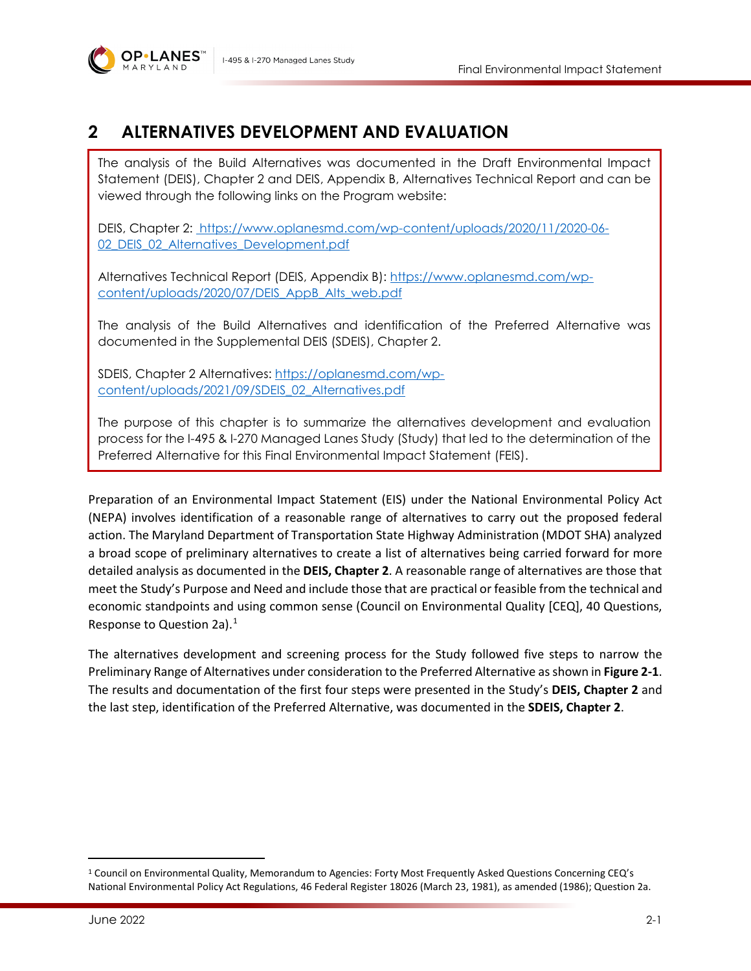

# **2 ALTERNATIVES DEVELOPMENT AND EVALUATION**

The analysis of the Build Alternatives was documented in the Draft Environmental Impact Statement (DEIS), Chapter 2 and DEIS, Appendix B, Alternatives Technical Report and can be viewed through the following links on the Program website:

DEIS, Chapter 2: [https://www.oplanesmd.com/wp-content/uploads/2020/11/2020-06-](https://www.oplanesmd.com/wp-content/uploads/2020/11/2020-06-02_DEIS_02_Alternatives_Development.pdf) 02 DEIS 02 Alternatives Development.pdf

Alternatives Technical Report (DEIS, Appendix B): [https://www.oplanesmd.com/wp](https://www.oplanesmd.com/wp-content/uploads/2020/07/DEIS_AppB_Alts_web.pdf)[content/uploads/2020/07/DEIS\\_AppB\\_Alts\\_web.pdf](https://www.oplanesmd.com/wp-content/uploads/2020/07/DEIS_AppB_Alts_web.pdf)

The analysis of the Build Alternatives and identification of the Preferred Alternative was documented in the Supplemental DEIS (SDEIS), Chapter 2.

SDEIS, Chapter 2 Alternatives: [https://oplanesmd.com/wp](https://oplanesmd.com/wp-content/uploads/2021/09/SDEIS_02_Alternatives.pdf)[content/uploads/2021/09/SDEIS\\_02\\_Alternatives.pdf](https://oplanesmd.com/wp-content/uploads/2021/09/SDEIS_02_Alternatives.pdf)

The purpose of this chapter is to summarize the alternatives development and evaluation process for the I-495 & I-270 Managed Lanes Study (Study) that led to the determination of the Preferred Alternative for this Final Environmental Impact Statement (FEIS).

Preparation of an Environmental Impact Statement (EIS) under the National Environmental Policy Act (NEPA) involves identification of a reasonable range of alternatives to carry out the proposed federal action. The Maryland Department of Transportation State Highway Administration (MDOT SHA) analyzed a broad scope of preliminary alternatives to create a list of alternatives being carried forward for more detailed analysis as documented in the **DEIS, Chapter 2**. A reasonable range of alternatives are those that meet the Study's Purpose and Need and include those that are practical or feasible from the technical and economic standpoints and using common sense (Council on Environmental Quality [CEQ], 40 Questions, Response to Question 2a).[1](#page-0-0)

The alternatives development and screening process for the Study followed five steps to narrow the Preliminary Range of Alternatives under consideration to the Preferred Alternative as shown in **[Figure 2-1](#page-1-0)**. The results and documentation of the first four steps were presented in the Study's **DEIS, Chapter 2** and the last step, identification of the Preferred Alternative, was documented in the **SDEIS, Chapter 2**.

<span id="page-0-0"></span><sup>&</sup>lt;sup>1</sup> Council on Environmental Quality, Memorandum to Agencies: Forty Most Frequently Asked Questions Concerning CEQ's National Environmental Policy Act Regulations, 46 Federal Register 18026 (March 23, 1981), as amended (1986); Question 2a.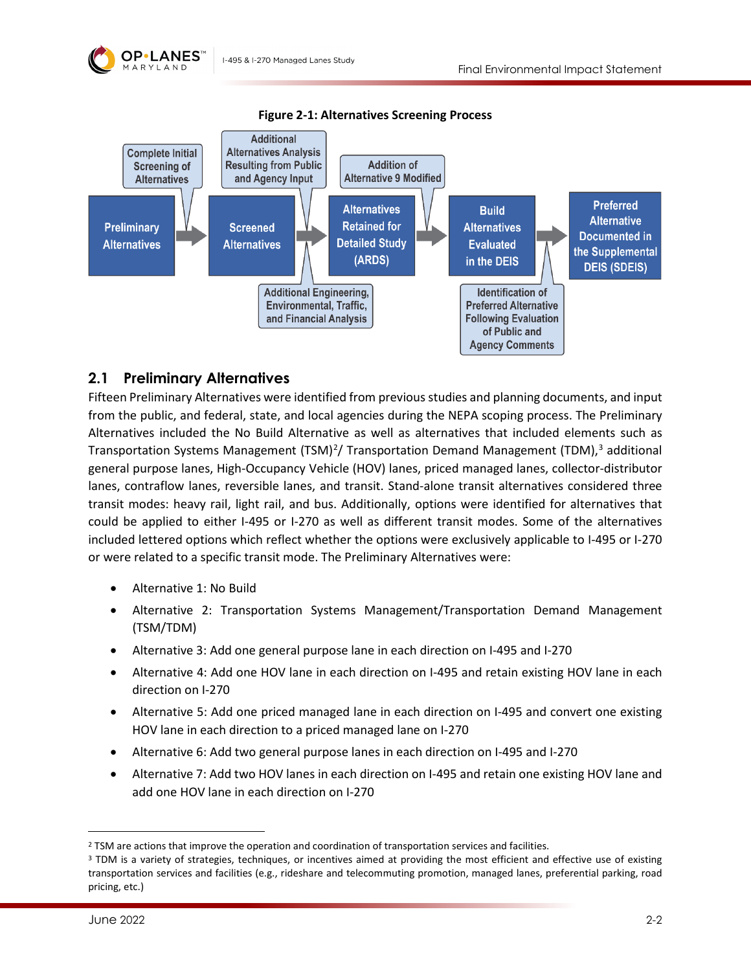

<span id="page-1-0"></span>

**Figure 2-1: Alternatives Screening Process**

### **2.1 Preliminary Alternatives**

Fifteen Preliminary Alternatives were identified from previous studies and planning documents, and input from the public, and federal, state, and local agencies during the NEPA scoping process. The Preliminary Alternatives included the No Build Alternative as well as alternatives that included elements such as Transportation Systems Management (TSM)<sup>[2](#page-1-1)</sup>/ Transportation Demand Management (TDM),<sup>[3](#page-1-2)</sup> additional general purpose lanes, High-Occupancy Vehicle (HOV) lanes, priced managed lanes, collector-distributor lanes, contraflow lanes, reversible lanes, and transit. Stand-alone transit alternatives considered three transit modes: heavy rail, light rail, and bus. Additionally, options were identified for alternatives that could be applied to either I-495 or I-270 as well as different transit modes. Some of the alternatives included lettered options which reflect whether the options were exclusively applicable to I-495 or I-270 or were related to a specific transit mode. The Preliminary Alternatives were:

- Alternative 1: No Build
- Alternative 2: Transportation Systems Management/Transportation Demand Management (TSM/TDM)
- Alternative 3: Add one general purpose lane in each direction on I-495 and I-270
- Alternative 4: Add one HOV lane in each direction on I-495 and retain existing HOV lane in each direction on I-270
- Alternative 5: Add one priced managed lane in each direction on I-495 and convert one existing HOV lane in each direction to a priced managed lane on I-270
- Alternative 6: Add two general purpose lanes in each direction on I-495 and I-270
- Alternative 7: Add two HOV lanes in each direction on I-495 and retain one existing HOV lane and add one HOV lane in each direction on I-270

<span id="page-1-1"></span><sup>&</sup>lt;sup>2</sup> TSM are actions that improve the operation and coordination of transportation services and facilities.

<span id="page-1-2"></span><sup>&</sup>lt;sup>3</sup> TDM is a variety of strategies, techniques, or incentives aimed at providing the most efficient and effective use of existing transportation services and facilities (e.g., rideshare and telecommuting promotion, managed lanes, preferential parking, road pricing, etc.)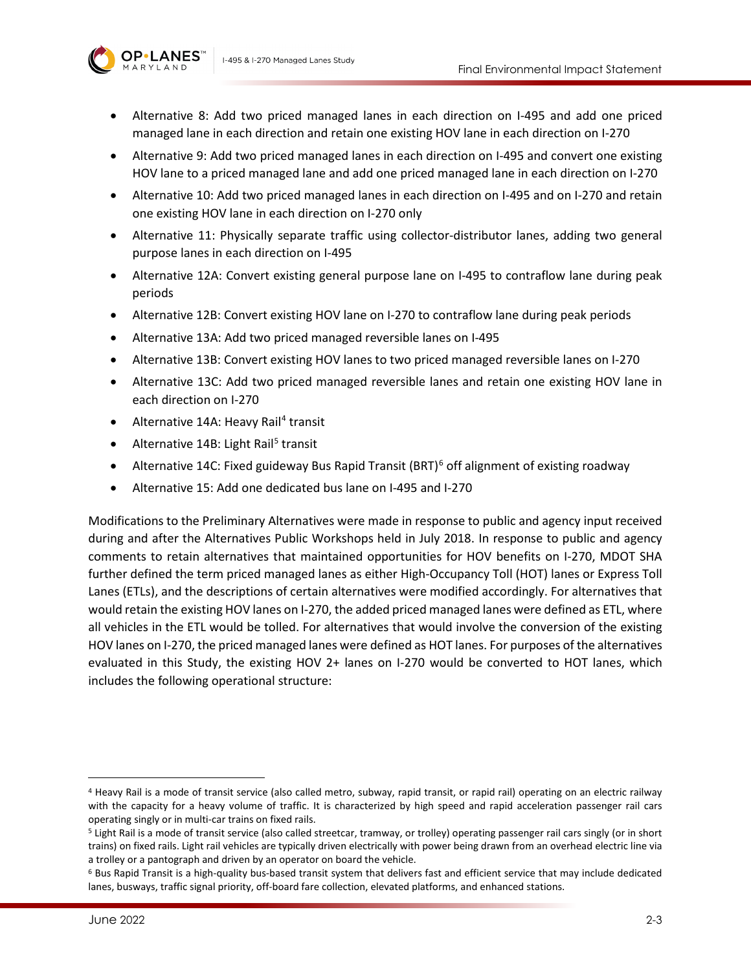

- Alternative 8: Add two priced managed lanes in each direction on I-495 and add one priced managed lane in each direction and retain one existing HOV lane in each direction on I-270
- Alternative 9: Add two priced managed lanes in each direction on I-495 and convert one existing HOV lane to a priced managed lane and add one priced managed lane in each direction on I-270
- Alternative 10: Add two priced managed lanes in each direction on I-495 and on I-270 and retain one existing HOV lane in each direction on I-270 only
- Alternative 11: Physically separate traffic using collector-distributor lanes, adding two general purpose lanes in each direction on I-495
- Alternative 12A: Convert existing general purpose lane on I-495 to contraflow lane during peak periods
- Alternative 12B: Convert existing HOV lane on I-270 to contraflow lane during peak periods
- Alternative 13A: Add two priced managed reversible lanes on I-495
- Alternative 13B: Convert existing HOV lanes to two priced managed reversible lanes on I-270
- Alternative 13C: Add two priced managed reversible lanes and retain one existing HOV lane in each direction on I-270
- Alternative 1[4](#page-2-0)A: Heavy Rail<sup>4</sup> transit
- Alternative 14B: Light Rail<sup>[5](#page-2-1)</sup> transit
- Alternative 14C: Fixed guideway Bus Rapid Transit  $(BRT)^6$  $(BRT)^6$  off alignment of existing roadway
- Alternative 15: Add one dedicated bus lane on I-495 and I-270

Modifications to the Preliminary Alternatives were made in response to public and agency input received during and after the Alternatives Public Workshops held in July 2018. In response to public and agency comments to retain alternatives that maintained opportunities for HOV benefits on I-270, MDOT SHA further defined the term priced managed lanes as either High-Occupancy Toll (HOT) lanes or Express Toll Lanes (ETLs), and the descriptions of certain alternatives were modified accordingly. For alternatives that would retain the existing HOV lanes on I-270, the added priced managed lanes were defined as ETL, where all vehicles in the ETL would be tolled. For alternatives that would involve the conversion of the existing HOV lanes on I-270, the priced managed lanes were defined as HOT lanes. For purposes of the alternatives evaluated in this Study, the existing HOV 2+ lanes on I-270 would be converted to HOT lanes, which includes the following operational structure:

<span id="page-2-0"></span><sup>4</sup> Heavy Rail is a mode of transit service (also called metro, subway, rapid transit, or rapid rail) operating on an electric railway with the capacity for a heavy volume of traffic. It is characterized by high speed and rapid acceleration passenger rail cars operating singly or in multi-car trains on fixed rails.<br><sup>5</sup> Light Rail is a mode of transit service (also called streetcar, tramway, or trolley) operating passenger rail cars singly (or in short

<span id="page-2-1"></span>trains) on fixed rails. Light rail vehicles are typically driven electrically with power being drawn from an overhead electric line via a trolley or a pantograph and driven by an operator on board the vehicle.

<span id="page-2-2"></span> $6$  Bus Rapid Transit is a high-quality bus-based transit system that delivers fast and efficient service that may include dedicated lanes, busways, traffic signal priority, off-board fare collection, elevated platforms, and enhanced stations.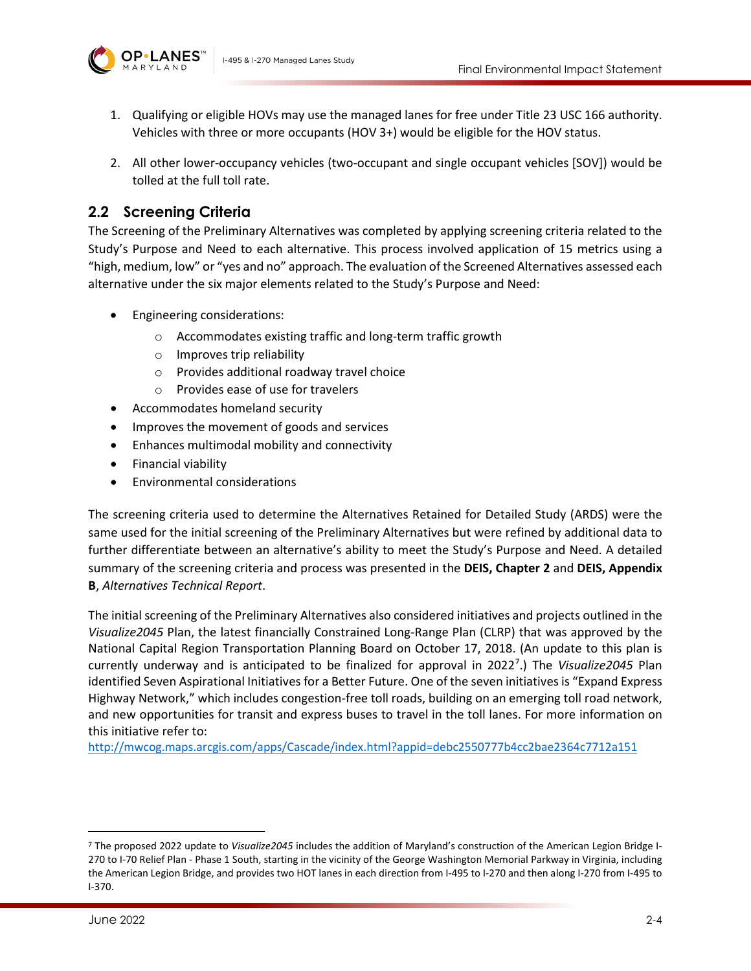

- 1. Qualifying or eligible HOVs may use the managed lanes for free under Title 23 USC 166 authority. Vehicles with three or more occupants (HOV 3+) would be eligible for the HOV status.
- 2. All other lower-occupancy vehicles (two-occupant and single occupant vehicles [SOV]) would be tolled at the full toll rate.

## <span id="page-3-1"></span>**2.2 Screening Criteria**

The Screening of the Preliminary Alternatives was completed by applying screening criteria related to the Study's Purpose and Need to each alternative. This process involved application of 15 metrics using a "high, medium, low" or "yes and no" approach. The evaluation of the Screened Alternatives assessed each alternative under the six major elements related to the Study's Purpose and Need:

- Engineering considerations:
	- o Accommodates existing traffic and long-term traffic growth
	- o Improves trip reliability
	- o Provides additional roadway travel choice
	- o Provides ease of use for travelers
- Accommodates homeland security
- Improves the movement of goods and services
- Enhances multimodal mobility and connectivity
- Financial viability
- Environmental considerations

The screening criteria used to determine the Alternatives Retained for Detailed Study (ARDS) were the same used for the initial screening of the Preliminary Alternatives but were refined by additional data to further differentiate between an alternative's ability to meet the Study's Purpose and Need. A detailed summary of the screening criteria and process was presented in the **DEIS, Chapter 2** and **DEIS, Appendix B**, *Alternatives Technical Report*.

The initial screening of the Preliminary Alternatives also considered initiatives and projects outlined in the *Visualize2045* Plan, the latest financially Constrained Long-Range Plan (CLRP) that was approved by the National Capital Region Transportation Planning Board on October 17, 2018. (An update to this plan is currently underway and is anticipated to be finalized for approval in 2022<sup>[7](#page-3-0)</sup>.) The Visualize2045 Plan identified Seven Aspirational Initiatives for a Better Future. One of the seven initiatives is "Expand Express Highway Network," which includes congestion-free toll roads, building on an emerging toll road network, and new opportunities for transit and express buses to travel in the toll lanes. For more information on this initiative refer to:

<http://mwcog.maps.arcgis.com/apps/Cascade/index.html?appid=debc2550777b4cc2bae2364c7712a151>

<span id="page-3-0"></span><sup>7</sup> The proposed 2022 update to *Visualize2045* includes the addition of Maryland's construction of the American Legion Bridge I-270 to I-70 Relief Plan - Phase 1 South, starting in the vicinity of the George Washington Memorial Parkway in Virginia, including the American Legion Bridge, and provides two HOT lanes in each direction from I-495 to I-270 and then along I-270 from I-495 to I-370.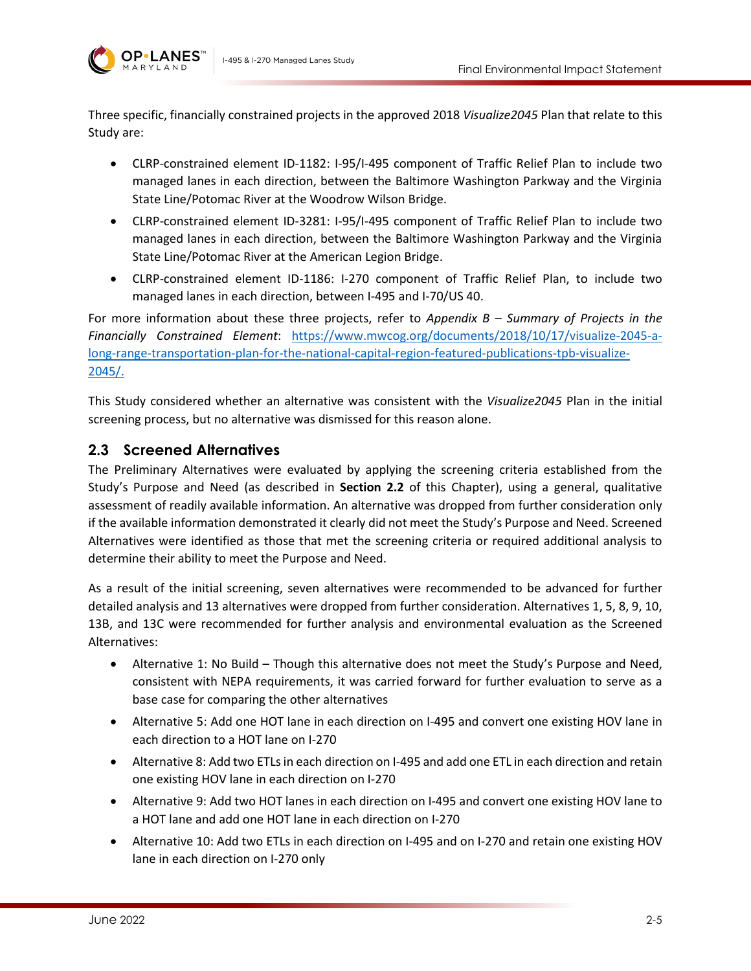

Three specific, financially constrained projects in the approved 2018 *Visualize2045* Plan that relate to this Study are:

- CLRP-constrained element ID-1182: I-95/I-495 component of Traffic Relief Plan to include two managed lanes in each direction, between the Baltimore Washington Parkway and the Virginia State Line/Potomac River at the Woodrow Wilson Bridge.
- CLRP-constrained element ID-3281: I-95/I-495 component of Traffic Relief Plan to include two managed lanes in each direction, between the Baltimore Washington Parkway and the Virginia State Line/Potomac River at the American Legion Bridge.
- CLRP-constrained element ID-1186: I-270 component of Traffic Relief Plan, to include two managed lanes in each direction, between I-495 and I-70/US 40.

For more information about these three projects, refer to *Appendix B – Summary of Projects in the Financially Constrained Element*: [https://www.mwcog.org/documents/2018/10/17/visualize-2045-a](https://www.mwcog.org/documents/2018/10/17/visualize-2045-a-long-range-transportation-plan-for-the-national-capital-region-featured-publications-tpb-visualize-2045/)[long-range-transportation-plan-for-the-national-capital-region-featured-publications-tpb-visualize-](https://www.mwcog.org/documents/2018/10/17/visualize-2045-a-long-range-transportation-plan-for-the-national-capital-region-featured-publications-tpb-visualize-2045/)[2045/.](https://www.mwcog.org/documents/2018/10/17/visualize-2045-a-long-range-transportation-plan-for-the-national-capital-region-featured-publications-tpb-visualize-2045/)

This Study considered whether an alternative was consistent with the *Visualize2045* Plan in the initial screening process, but no alternative was dismissed for this reason alone.

### **2.3 Screened Alternatives**

The Preliminary Alternatives were evaluated by applying the screening criteria established from the Study's Purpose and Need (as described in **Section [2.2](#page-3-1)** of this Chapter), using a general, qualitative assessment of readily available information. An alternative was dropped from further consideration only if the available information demonstrated it clearly did not meet the Study's Purpose and Need. Screened Alternatives were identified as those that met the screening criteria or required additional analysis to determine their ability to meet the Purpose and Need.

As a result of the initial screening, seven alternatives were recommended to be advanced for further detailed analysis and 13 alternatives were dropped from further consideration. Alternatives 1, 5, 8, 9, 10, 13B, and 13C were recommended for further analysis and environmental evaluation as the Screened Alternatives:

- Alternative 1: No Build Though this alternative does not meet the Study's Purpose and Need, consistent with NEPA requirements, it was carried forward for further evaluation to serve as a base case for comparing the other alternatives
- Alternative 5: Add one HOT lane in each direction on I-495 and convert one existing HOV lane in each direction to a HOT lane on I-270
- Alternative 8: Add two ETLs in each direction on I-495 and add one ETL in each direction and retain one existing HOV lane in each direction on I-270
- Alternative 9: Add two HOT lanes in each direction on I-495 and convert one existing HOV lane to a HOT lane and add one HOT lane in each direction on I-270
- Alternative 10: Add two ETLs in each direction on I-495 and on I-270 and retain one existing HOV lane in each direction on I-270 only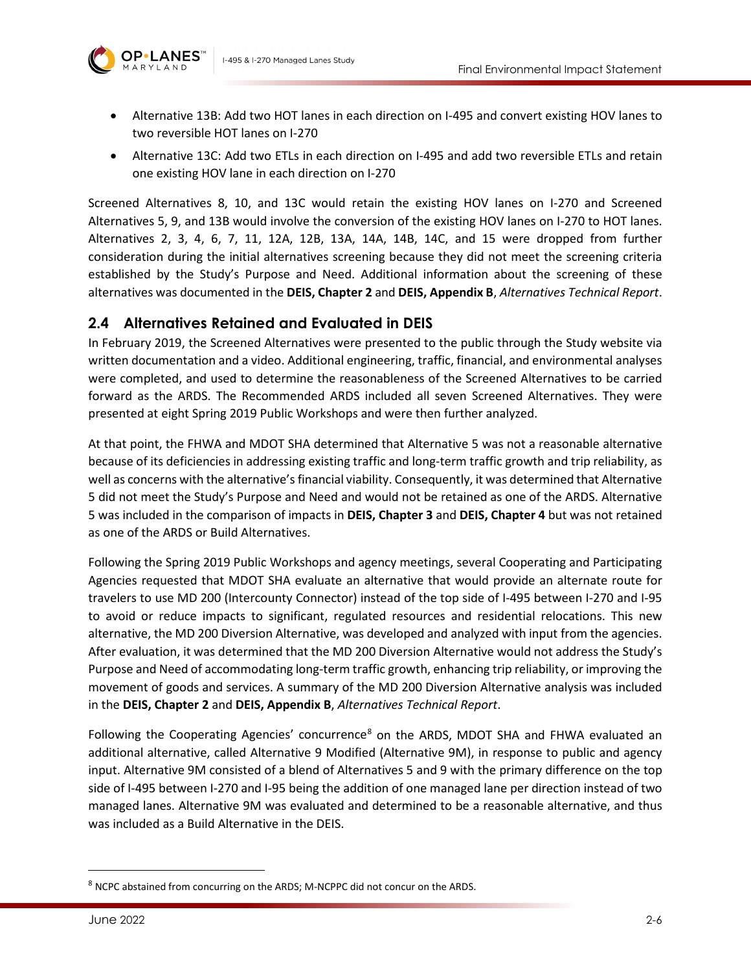- Alternative 13B: Add two HOT lanes in each direction on I-495 and convert existing HOV lanes to two reversible HOT lanes on I-270
- Alternative 13C: Add two ETLs in each direction on I-495 and add two reversible ETLs and retain one existing HOV lane in each direction on I-270

Screened Alternatives 8, 10, and 13C would retain the existing HOV lanes on I-270 and Screened Alternatives 5, 9, and 13B would involve the conversion of the existing HOV lanes on I-270 to HOT lanes. Alternatives 2, 3, 4, 6, 7, 11, 12A, 12B, 13A, 14A, 14B, 14C, and 15 were dropped from further consideration during the initial alternatives screening because they did not meet the screening criteria established by the Study's Purpose and Need. Additional information about the screening of these alternatives was documented in the **DEIS, Chapter 2** and **DEIS, Appendix B**, *Alternatives Technical Report*.

#### **2.4 Alternatives Retained and Evaluated in DEIS**

In February 2019, the Screened Alternatives were presented to the public through the Study website via written documentation and a video. Additional engineering, traffic, financial, and environmental analyses were completed, and used to determine the reasonableness of the Screened Alternatives to be carried forward as the ARDS. The Recommended ARDS included all seven Screened Alternatives. They were presented at eight Spring 2019 Public Workshops and were then further analyzed.

At that point, the FHWA and MDOT SHA determined that Alternative 5 was not a reasonable alternative because of its deficiencies in addressing existing traffic and long-term traffic growth and trip reliability, as well as concerns with the alternative's financial viability. Consequently, it was determined that Alternative 5 did not meet the Study's Purpose and Need and would not be retained as one of the ARDS. Alternative 5 was included in the comparison of impacts in **DEIS, Chapter 3** and **DEIS, Chapter 4** but was not retained as one of the ARDS or Build Alternatives.

Following the Spring 2019 Public Workshops and agency meetings, several Cooperating and Participating Agencies requested that MDOT SHA evaluate an alternative that would provide an alternate route for travelers to use MD 200 (Intercounty Connector) instead of the top side of I-495 between I-270 and I-95 to avoid or reduce impacts to significant, regulated resources and residential relocations. This new alternative, the MD 200 Diversion Alternative, was developed and analyzed with input from the agencies. After evaluation, it was determined that the MD 200 Diversion Alternative would not address the Study's Purpose and Need of accommodating long-term traffic growth, enhancing trip reliability, or improving the movement of goods and services. A summary of the MD 200 Diversion Alternative analysis was included in the **DEIS, Chapter 2** and **DEIS, Appendix B**, *Alternatives Technical Report*.

Following the Cooperating Agencies' concurrence<sup>[8](#page-5-0)</sup> on the ARDS, MDOT SHA and FHWA evaluated an additional alternative, called Alternative 9 Modified (Alternative 9M), in response to public and agency input. Alternative 9M consisted of a blend of Alternatives 5 and 9 with the primary difference on the top side of I-495 between I-270 and I-95 being the addition of one managed lane per direction instead of two managed lanes. Alternative 9M was evaluated and determined to be a reasonable alternative, and thus was included as a Build Alternative in the DEIS.

<span id="page-5-0"></span><sup>8</sup> NCPC abstained from concurring on the ARDS; M-NCPPC did not concur on the ARDS.